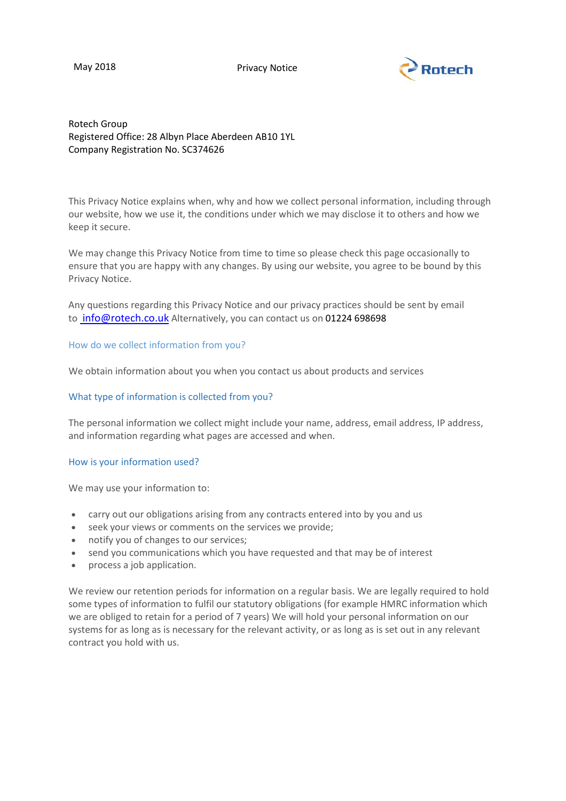May 2018 **Privacy Notice** 



# Rotech Group Registered Office: 28 Albyn Place Aberdeen AB10 1YL Company Registration No. SC374626

This Privacy Notice explains when, why and how we collect personal information, including through our website, how we use it, the conditions under which we may disclose it to others and how we keep it secure.

We may change this Privacy Notice from time to time so please check this page occasionally to ensure that you are happy with any changes. By using our website, you agree to be bound by this Privacy Notice.

Any questions regarding this Privacy Notice and our privacy practices should be sent by email to [info@rotech.co.uk](mailto:info@rotech.co.uk) Alternatively, you can contact us on 01224 698698

## How do we collect information from you?

We obtain information about you when you contact us about products and services

## What type of information is collected from you?

The personal information we collect might include your name, address, email address, IP address, and information regarding what pages are accessed and when.

## How is your information used?

We may use your information to:

- carry out our obligations arising from any contracts entered into by you and us
- seek your views or comments on the services we provide;
- notify you of changes to our services;
- send you communications which you have requested and that may be of interest
- process a job application.

We review our retention periods for information on a regular basis. We are legally required to hold some types of information to fulfil our statutory obligations (for example HMRC information which we are obliged to retain for a period of 7 years) We will hold your personal information on our systems for as long as is necessary for the relevant activity, or as long as is set out in any relevant contract you hold with us.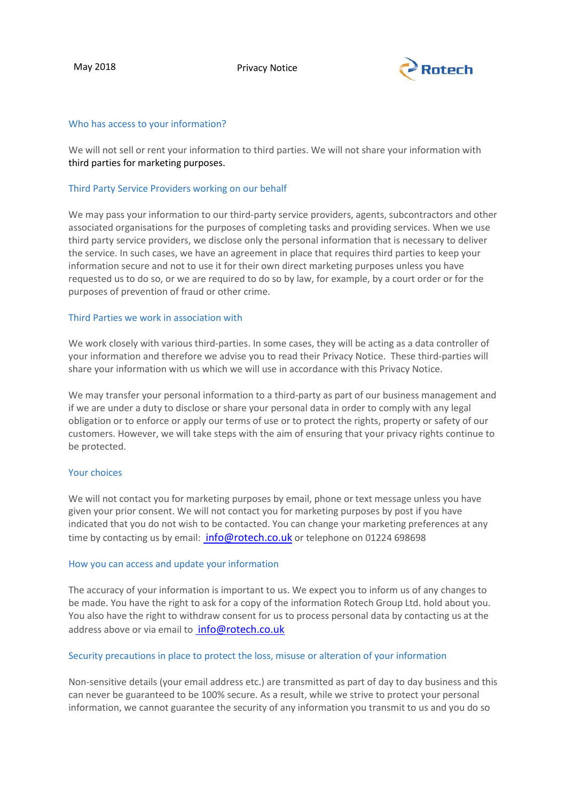

### Who has access to your information?

We will not sell or rent your information to third parties. We will not share your information with third parties for marketing purposes.

### Third Party Service Providers working on our behalf

We may pass your information to our third-party service providers, agents, subcontractors and other associated organisations for the purposes of completing tasks and providing services. When we use third party service providers, we disclose only the personal information that is necessary to deliver the service. In such cases, we have an agreement in place that requires third parties to keep your information secure and not to use it for their own direct marketing purposes unless you have requested us to do so, or we are required to do so by law, for example, by a court order or for the purposes of prevention of fraud or other crime.

### Third Parties we work in association with

We work closely with various third-parties. In some cases, they will be acting as a data controller of your information and therefore we advise you to read their Privacy Notice. These third-parties will share your information with us which we will use in accordance with this Privacy Notice.

We may transfer your personal information to a third-party as part of our business management and if we are under a duty to disclose or share your personal data in order to comply with any legal obligation or to enforce or apply our terms of use or to protect the rights, property or safety of our customers. However, we will take steps with the aim of ensuring that your privacy rights continue to be protected.

#### Your choices

We will not contact you for marketing purposes by email, phone or text message unless you have given your prior consent. We will not contact you for marketing purposes by post if you have indicated that you do not wish to be contacted. You can change your marketing preferences at any time by contacting us by email: [info@rotech.co.uk](mailto:info@rotech.co.uk) or telephone on 01224 698698

#### How you can access and update your information

The accuracy of your information is important to us. We expect you to inform us of any changes to be made. You have the right to ask for a copy of the information Rotech Group Ltd. hold about you. You also have the right to withdraw consent for us to process personal data by contacting us at the address above or via email to [info@rotech.co.uk](mailto:info@rotech.co.uk)

#### Security precautions in place to protect the loss, misuse or alteration of your information

Non-sensitive details (your email address etc.) are transmitted as part of day to day business and this can never be guaranteed to be 100% secure. As a result, while we strive to protect your personal information, we cannot guarantee the security of any information you transmit to us and you do so